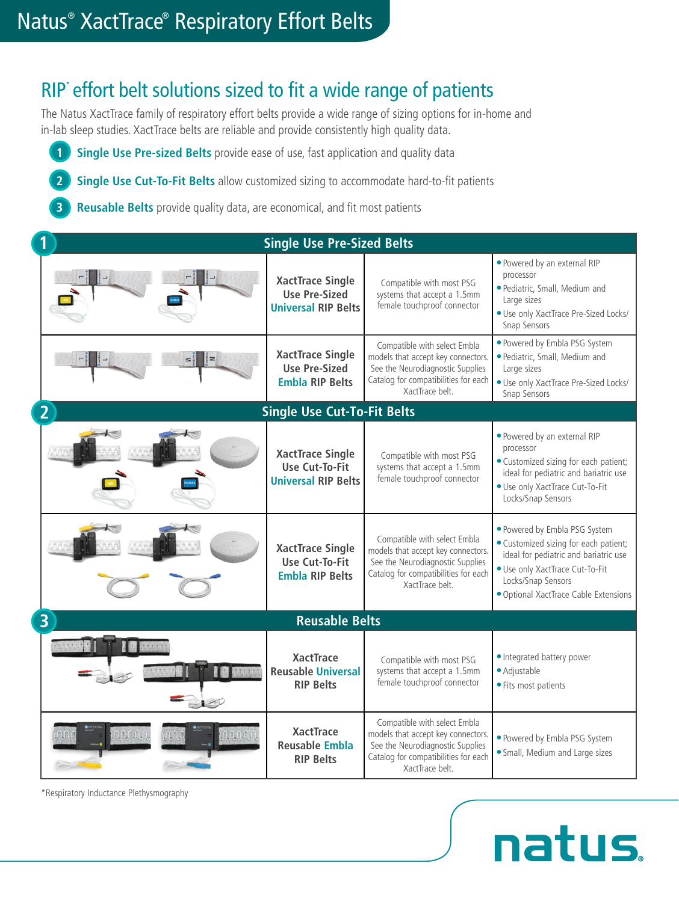### RIP<sup>\*</sup> effort belt solutions sized to fit a wide range of patients

The Natus XactTrace family of respiratory effort belts provide a wide range of sizing options for in-home and in-lab sleep studies. XactTrace belts are reliable and provide consistently high quality data.

**1 Single Use Pre-sized Belts** provide ease of use, fast application and quality data

**2 Single Use Cut-To-Fit Belts** allow customized sizing to accommodate hard-to-fit patients

**3 Reusable Belts** provide quality data, are economical, and fit most patients

| <b>Single Use Pre-Sized Belts</b>       |                                                                                |                                                                                                                                                                   |                                                                                                                                                                                                                   |  |
|-----------------------------------------|--------------------------------------------------------------------------------|-------------------------------------------------------------------------------------------------------------------------------------------------------------------|-------------------------------------------------------------------------------------------------------------------------------------------------------------------------------------------------------------------|--|
|                                         | <b>XactTrace Single</b><br><b>Use Pre-Sized</b><br><b>Universal RIP Belts</b>  | Compatible with most PSG<br>systems that accept a 1.5mm<br>female touchproof connector                                                                            | . Powered by an external RIP<br>processor<br>· Pediatric, Small, Medium and<br>Large sizes<br>· Use only XactTrace Pre-Sized Locks/<br>Snap Sensors                                                               |  |
|                                         | <b>XactTrace Single</b><br><b>Use Pre-Sized</b><br><b>Embla RIP Belts</b>      | Compatible with select Embla<br>models that accept key connectors.<br>See the Neurodiagnostic Supplies<br>Catalog for compatibilities for each<br>XactTrace belt. | . Powered by Embla PSG System<br>· Pediatric, Small, Medium and<br>Large sizes<br>· Use only XactTrace Pre-Sized Locks/<br>Snap Sensors                                                                           |  |
|                                         | <b>Single Use Cut-To-Fit Belts</b>                                             |                                                                                                                                                                   |                                                                                                                                                                                                                   |  |
|                                         | <b>XactTrace Single</b><br><b>Use Cut-To-Fit</b><br><b>Universal RIP Belts</b> | Compatible with most PSG<br>systems that accept a 1.5mm<br>female touchproof connector                                                                            | . Powered by an external RIP<br>processor<br>· Customized sizing for each patient;<br>ideal for pediatric and bariatric use<br>· Use only XactTrace Cut-To-Fit<br>Locks/Snap Sensors                              |  |
|                                         | <b>XactTrace Single</b><br><b>Use Cut-To-Fit</b><br><b>Embla RIP Belts</b>     | Compatible with select Embla<br>models that accept key connectors.<br>See the Neurodiagnostic Supplies<br>Catalog for compatibilities for each<br>XactTrace belt. | · Powered by Embla PSG System<br>· Customized sizing for each patient;<br>ideal for pediatric and bariatric use<br>· Use only XactTrace Cut-To-Fit<br>Locks/Snap Sensors<br>· Optional XactTrace Cable Extensions |  |
| <b>Reusable Belts</b><br>$\overline{3}$ |                                                                                |                                                                                                                                                                   |                                                                                                                                                                                                                   |  |
|                                         | <b>XactTrace</b><br><b>Reusable Universal</b><br><b>RIP Belts</b>              | Compatible with most PSG<br>systems that accept a 1.5mm<br>female touchproof connector                                                                            | · Integrated battery power<br>· Adjustable<br>· Fits most patients                                                                                                                                                |  |
|                                         | <b>XactTrace</b><br><b>Reusable Embla</b><br><b>RIP Belts</b>                  | Compatible with select Embla<br>models that accept key connectors.<br>See the Neurodiagnostic Supplies<br>Catalog for compatibilities for each<br>XactTrace belt. | · Powered by Embla PSG System<br>· Small, Medium and Large sizes                                                                                                                                                  |  |

**natus** 

\*Respiratory Inductance Plethysmography